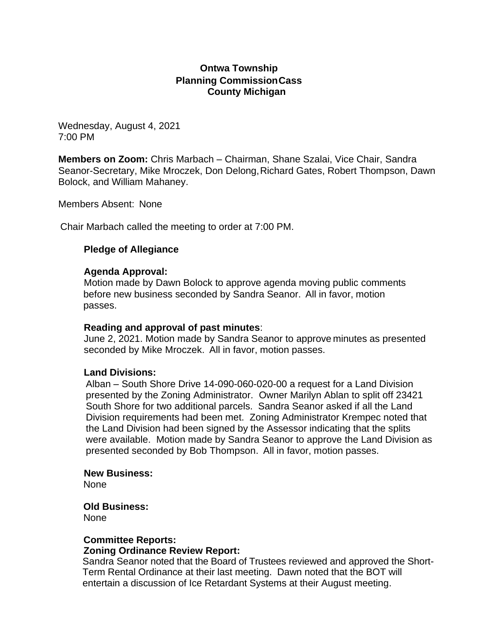## **Ontwa Township Planning CommissionCass County Michigan**

Wednesday, August 4, 2021 7:00 PM

**Members on Zoom:** Chris Marbach – Chairman, Shane Szalai, Vice Chair, Sandra Seanor-Secretary, Mike Mroczek, Don Delong,Richard Gates, Robert Thompson, Dawn Bolock, and William Mahaney.

Members Absent: None

Chair Marbach called the meeting to order at 7:00 PM.

### **Pledge of Allegiance**

#### **Agenda Approval:**

Motion made by Dawn Bolock to approve agenda moving public comments before new business seconded by Sandra Seanor. All in favor, motion passes.

#### **Reading and approval of past minutes**:

June 2, 2021. Motion made by Sandra Seanor to approve minutes as presented seconded by Mike Mroczek. All in favor, motion passes.

#### **Land Divisions:**

Alban – South Shore Drive 14-090-060-020-00 a request for a Land Division presented by the Zoning Administrator. Owner Marilyn Ablan to split off 23421 South Shore for two additional parcels. Sandra Seanor asked if all the Land Division requirements had been met. Zoning Administrator Krempec noted that the Land Division had been signed by the Assessor indicating that the splits were available. Motion made by Sandra Seanor to approve the Land Division as presented seconded by Bob Thompson. All in favor, motion passes.

#### **New Business:**

None

#### **Old Business:**

None

#### **Committee Reports:**

#### **Zoning Ordinance Review Report:**

Sandra Seanor noted that the Board of Trustees reviewed and approved the Short-Term Rental Ordinance at their last meeting. Dawn noted that the BOT will entertain a discussion of Ice Retardant Systems at their August meeting.